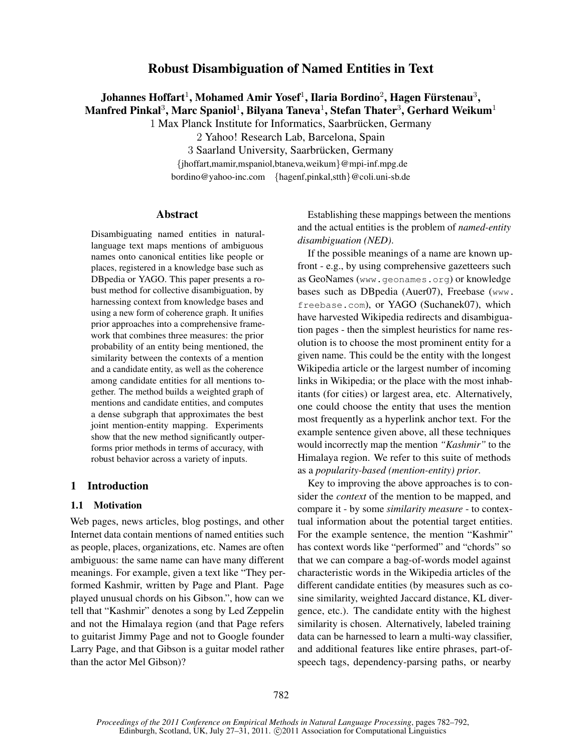# Robust Disambiguation of Named Entities in Text

# Johannes Hoffart $^1$ , Mohamed Amir Yosef $^1$ , Ilaria Bordino $^2$ , Hagen Fürstenau $^3,$ Manfred Pinkal $^3$ , Marc Spaniol $^1$ , Bilyana Taneva $^1$ , Stefan Thater $^3$ , Gerhard Weikum $^1$

1 Max Planck Institute for Informatics, Saarbrücken, Germany

2 Yahoo! Research Lab, Barcelona, Spain

3 Saarland University, Saarbrücken, Germany

{jhoffart,mamir,mspaniol,btaneva,weikum}@mpi-inf.mpg.de bordino@yahoo-inc.com {hagenf,pinkal,stth}@coli.uni-sb.de

# Abstract

Disambiguating named entities in naturallanguage text maps mentions of ambiguous names onto canonical entities like people or places, registered in a knowledge base such as DBpedia or YAGO. This paper presents a robust method for collective disambiguation, by harnessing context from knowledge bases and using a new form of coherence graph. It unifies prior approaches into a comprehensive framework that combines three measures: the prior probability of an entity being mentioned, the similarity between the contexts of a mention and a candidate entity, as well as the coherence among candidate entities for all mentions together. The method builds a weighted graph of mentions and candidate entities, and computes a dense subgraph that approximates the best joint mention-entity mapping. Experiments show that the new method significantly outperforms prior methods in terms of accuracy, with robust behavior across a variety of inputs.

# 1 Introduction

## 1.1 Motivation

Web pages, news articles, blog postings, and other Internet data contain mentions of named entities such as people, places, organizations, etc. Names are often ambiguous: the same name can have many different meanings. For example, given a text like "They performed Kashmir, written by Page and Plant. Page played unusual chords on his Gibson.", how can we tell that "Kashmir" denotes a song by Led Zeppelin and not the Himalaya region (and that Page refers to guitarist Jimmy Page and not to Google founder Larry Page, and that Gibson is a guitar model rather than the actor Mel Gibson)?

Establishing these mappings between the mentions and the actual entities is the problem of *named-entity disambiguation (NED)*.

If the possible meanings of a name are known upfront - e.g., by using comprehensive gazetteers such as GeoNames (www.geonames.org) or knowledge bases such as DBpedia (Auer07), Freebase (www. freebase.com), or YAGO (Suchanek07), which have harvested Wikipedia redirects and disambiguation pages - then the simplest heuristics for name resolution is to choose the most prominent entity for a given name. This could be the entity with the longest Wikipedia article or the largest number of incoming links in Wikipedia; or the place with the most inhabitants (for cities) or largest area, etc. Alternatively, one could choose the entity that uses the mention most frequently as a hyperlink anchor text. For the example sentence given above, all these techniques would incorrectly map the mention *"Kashmir"* to the Himalaya region. We refer to this suite of methods as a *popularity-based (mention-entity) prior*.

Key to improving the above approaches is to consider the *context* of the mention to be mapped, and compare it - by some *similarity measure* - to contextual information about the potential target entities. For the example sentence, the mention "Kashmir" has context words like "performed" and "chords" so that we can compare a bag-of-words model against characteristic words in the Wikipedia articles of the different candidate entities (by measures such as cosine similarity, weighted Jaccard distance, KL divergence, etc.). The candidate entity with the highest similarity is chosen. Alternatively, labeled training data can be harnessed to learn a multi-way classifier, and additional features like entire phrases, part-ofspeech tags, dependency-parsing paths, or nearby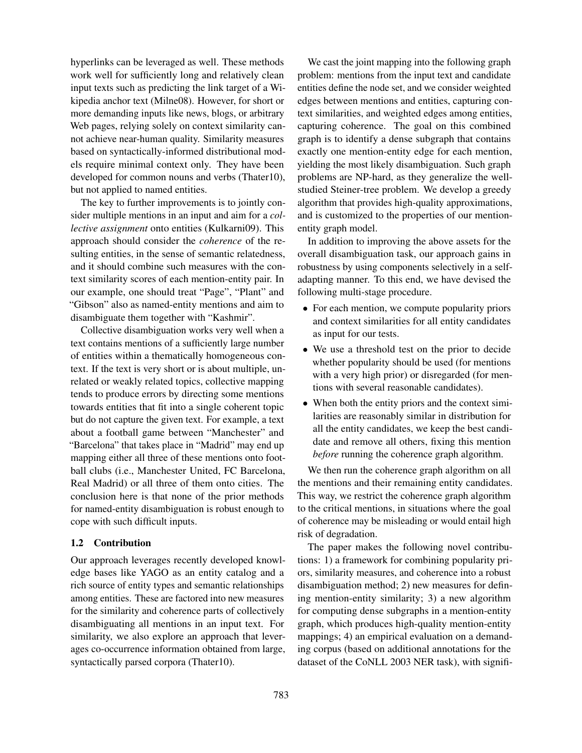hyperlinks can be leveraged as well. These methods work well for sufficiently long and relatively clean input texts such as predicting the link target of a Wikipedia anchor text (Milne08). However, for short or more demanding inputs like news, blogs, or arbitrary Web pages, relying solely on context similarity cannot achieve near-human quality. Similarity measures based on syntactically-informed distributional models require minimal context only. They have been developed for common nouns and verbs (Thater10), but not applied to named entities.

The key to further improvements is to jointly consider multiple mentions in an input and aim for a *collective assignment* onto entities (Kulkarni09). This approach should consider the *coherence* of the resulting entities, in the sense of semantic relatedness, and it should combine such measures with the context similarity scores of each mention-entity pair. In our example, one should treat "Page", "Plant" and "Gibson" also as named-entity mentions and aim to disambiguate them together with "Kashmir".

Collective disambiguation works very well when a text contains mentions of a sufficiently large number of entities within a thematically homogeneous context. If the text is very short or is about multiple, unrelated or weakly related topics, collective mapping tends to produce errors by directing some mentions towards entities that fit into a single coherent topic but do not capture the given text. For example, a text about a football game between "Manchester" and "Barcelona" that takes place in "Madrid" may end up mapping either all three of these mentions onto football clubs (i.e., Manchester United, FC Barcelona, Real Madrid) or all three of them onto cities. The conclusion here is that none of the prior methods for named-entity disambiguation is robust enough to cope with such difficult inputs.

## 1.2 Contribution

Our approach leverages recently developed knowledge bases like YAGO as an entity catalog and a rich source of entity types and semantic relationships among entities. These are factored into new measures for the similarity and coherence parts of collectively disambiguating all mentions in an input text. For similarity, we also explore an approach that leverages co-occurrence information obtained from large, syntactically parsed corpora (Thater10).

We cast the joint mapping into the following graph problem: mentions from the input text and candidate entities define the node set, and we consider weighted edges between mentions and entities, capturing context similarities, and weighted edges among entities, capturing coherence. The goal on this combined graph is to identify a dense subgraph that contains exactly one mention-entity edge for each mention, yielding the most likely disambiguation. Such graph problems are NP-hard, as they generalize the wellstudied Steiner-tree problem. We develop a greedy algorithm that provides high-quality approximations, and is customized to the properties of our mentionentity graph model.

In addition to improving the above assets for the overall disambiguation task, our approach gains in robustness by using components selectively in a selfadapting manner. To this end, we have devised the following multi-stage procedure.

- For each mention, we compute popularity priors and context similarities for all entity candidates as input for our tests.
- We use a threshold test on the prior to decide whether popularity should be used (for mentions with a very high prior) or disregarded (for mentions with several reasonable candidates).
- When both the entity priors and the context similarities are reasonably similar in distribution for all the entity candidates, we keep the best candidate and remove all others, fixing this mention *before* running the coherence graph algorithm.

We then run the coherence graph algorithm on all the mentions and their remaining entity candidates. This way, we restrict the coherence graph algorithm to the critical mentions, in situations where the goal of coherence may be misleading or would entail high risk of degradation.

The paper makes the following novel contributions: 1) a framework for combining popularity priors, similarity measures, and coherence into a robust disambiguation method; 2) new measures for defining mention-entity similarity; 3) a new algorithm for computing dense subgraphs in a mention-entity graph, which produces high-quality mention-entity mappings; 4) an empirical evaluation on a demanding corpus (based on additional annotations for the dataset of the CoNLL 2003 NER task), with signifi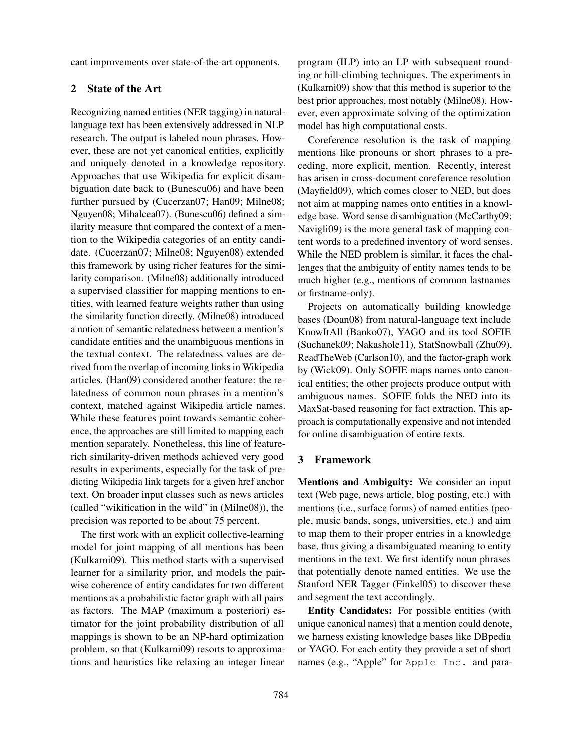cant improvements over state-of-the-art opponents.

# 2 State of the Art

Recognizing named entities (NER tagging) in naturallanguage text has been extensively addressed in NLP research. The output is labeled noun phrases. However, these are not yet canonical entities, explicitly and uniquely denoted in a knowledge repository. Approaches that use Wikipedia for explicit disambiguation date back to (Bunescu06) and have been further pursued by (Cucerzan07; Han09; Milne08; Nguyen08; Mihalcea07). (Bunescu06) defined a similarity measure that compared the context of a mention to the Wikipedia categories of an entity candidate. (Cucerzan07; Milne08; Nguyen08) extended this framework by using richer features for the similarity comparison. (Milne08) additionally introduced a supervised classifier for mapping mentions to entities, with learned feature weights rather than using the similarity function directly. (Milne08) introduced a notion of semantic relatedness between a mention's candidate entities and the unambiguous mentions in the textual context. The relatedness values are derived from the overlap of incoming links in Wikipedia articles. (Han09) considered another feature: the relatedness of common noun phrases in a mention's context, matched against Wikipedia article names. While these features point towards semantic coherence, the approaches are still limited to mapping each mention separately. Nonetheless, this line of featurerich similarity-driven methods achieved very good results in experiments, especially for the task of predicting Wikipedia link targets for a given href anchor text. On broader input classes such as news articles (called "wikification in the wild" in (Milne08)), the precision was reported to be about 75 percent.

The first work with an explicit collective-learning model for joint mapping of all mentions has been (Kulkarni09). This method starts with a supervised learner for a similarity prior, and models the pairwise coherence of entity candidates for two different mentions as a probabilistic factor graph with all pairs as factors. The MAP (maximum a posteriori) estimator for the joint probability distribution of all mappings is shown to be an NP-hard optimization problem, so that (Kulkarni09) resorts to approximations and heuristics like relaxing an integer linear program (ILP) into an LP with subsequent rounding or hill-climbing techniques. The experiments in (Kulkarni09) show that this method is superior to the best prior approaches, most notably (Milne08). However, even approximate solving of the optimization model has high computational costs.

Coreference resolution is the task of mapping mentions like pronouns or short phrases to a preceding, more explicit, mention. Recently, interest has arisen in cross-document coreference resolution (Mayfield09), which comes closer to NED, but does not aim at mapping names onto entities in a knowledge base. Word sense disambiguation (McCarthy09; Navigli09) is the more general task of mapping content words to a predefined inventory of word senses. While the NED problem is similar, it faces the challenges that the ambiguity of entity names tends to be much higher (e.g., mentions of common lastnames or firstname-only).

Projects on automatically building knowledge bases (Doan08) from natural-language text include KnowItAll (Banko07), YAGO and its tool SOFIE (Suchanek09; Nakashole11), StatSnowball (Zhu09), ReadTheWeb (Carlson10), and the factor-graph work by (Wick09). Only SOFIE maps names onto canonical entities; the other projects produce output with ambiguous names. SOFIE folds the NED into its MaxSat-based reasoning for fact extraction. This approach is computationally expensive and not intended for online disambiguation of entire texts.

## 3 Framework

Mentions and Ambiguity: We consider an input text (Web page, news article, blog posting, etc.) with mentions (i.e., surface forms) of named entities (people, music bands, songs, universities, etc.) and aim to map them to their proper entries in a knowledge base, thus giving a disambiguated meaning to entity mentions in the text. We first identify noun phrases that potentially denote named entities. We use the Stanford NER Tagger (Finkel05) to discover these and segment the text accordingly.

Entity Candidates: For possible entities (with unique canonical names) that a mention could denote, we harness existing knowledge bases like DBpedia or YAGO. For each entity they provide a set of short names (e.g., "Apple" for Apple Inc. and para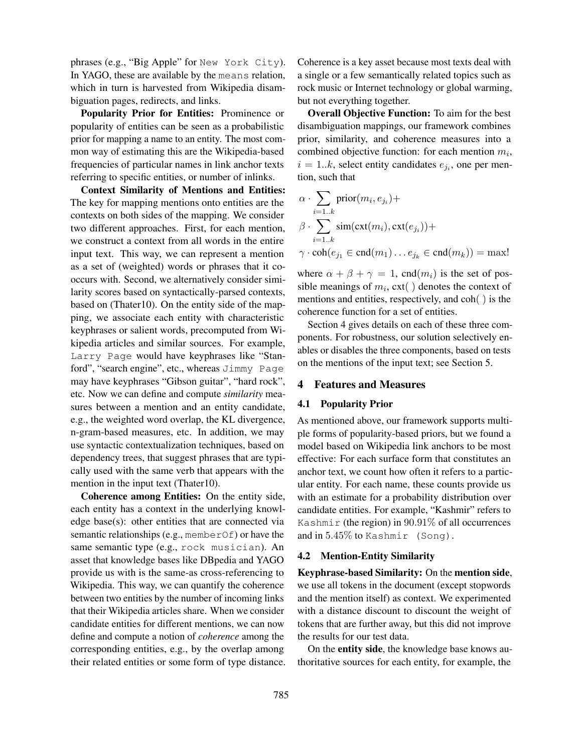phrases (e.g., "Big Apple" for New York City). In YAGO, these are available by the means relation, which in turn is harvested from Wikipedia disambiguation pages, redirects, and links.

Popularity Prior for Entities: Prominence or popularity of entities can be seen as a probabilistic prior for mapping a name to an entity. The most common way of estimating this are the Wikipedia-based frequencies of particular names in link anchor texts referring to specific entities, or number of inlinks.

Context Similarity of Mentions and Entities: The key for mapping mentions onto entities are the contexts on both sides of the mapping. We consider two different approaches. First, for each mention, we construct a context from all words in the entire input text. This way, we can represent a mention as a set of (weighted) words or phrases that it cooccurs with. Second, we alternatively consider similarity scores based on syntactically-parsed contexts, based on (Thater10). On the entity side of the mapping, we associate each entity with characteristic keyphrases or salient words, precomputed from Wikipedia articles and similar sources. For example, Larry Page would have keyphrases like "Stanford", "search engine", etc., whereas Jimmy Page may have keyphrases "Gibson guitar", "hard rock", etc. Now we can define and compute *similarity* measures between a mention and an entity candidate, e.g., the weighted word overlap, the KL divergence, n-gram-based measures, etc. In addition, we may use syntactic contextualization techniques, based on dependency trees, that suggest phrases that are typically used with the same verb that appears with the mention in the input text (Thater10).

Coherence among Entities: On the entity side, each entity has a context in the underlying knowledge base(s): other entities that are connected via semantic relationships (e.g., memberOf) or have the same semantic type (e.g., rock musician). An asset that knowledge bases like DBpedia and YAGO provide us with is the same-as cross-referencing to Wikipedia. This way, we can quantify the coherence between two entities by the number of incoming links that their Wikipedia articles share. When we consider candidate entities for different mentions, we can now define and compute a notion of *coherence* among the corresponding entities, e.g., by the overlap among their related entities or some form of type distance. Coherence is a key asset because most texts deal with a single or a few semantically related topics such as rock music or Internet technology or global warming, but not everything together.

Overall Objective Function: To aim for the best disambiguation mappings, our framework combines prior, similarity, and coherence measures into a combined objective function: for each mention  $m_i$ ,  $i = 1..k$ , select entity candidates  $e_{j_i}$ , one per mention, such that

$$
\alpha \cdot \sum_{i=1..k} \text{prior}(m_i, e_{j_i}) +
$$
  

$$
\beta \cdot \sum_{i=1..k} \text{sim}(\text{ext}(m_i), \text{ext}(e_{j_i})) +
$$
  

$$
\gamma \cdot \text{coh}(e_{j_1} \in \text{end}(m_1) \dots e_{j_k} \in \text{end}(m_k)) = \text{max}!
$$

where  $\alpha + \beta + \gamma = 1$ , cnd $(m_i)$  is the set of possible meanings of  $m_i$ ,  $ext()$  denotes the context of mentions and entities, respectively, and coh( ) is the coherence function for a set of entities.

Section 4 gives details on each of these three components. For robustness, our solution selectively enables or disables the three components, based on tests on the mentions of the input text; see Section 5.

## 4 Features and Measures

#### 4.1 Popularity Prior

As mentioned above, our framework supports multiple forms of popularity-based priors, but we found a model based on Wikipedia link anchors to be most effective: For each surface form that constitutes an anchor text, we count how often it refers to a particular entity. For each name, these counts provide us with an estimate for a probability distribution over candidate entities. For example, "Kashmir" refers to Kashmir (the region) in  $90.91\%$  of all occurrences and in 5.45% to Kashmir (Song).

#### 4.2 Mention-Entity Similarity

Keyphrase-based Similarity: On the mention side, we use all tokens in the document (except stopwords and the mention itself) as context. We experimented with a distance discount to discount the weight of tokens that are further away, but this did not improve the results for our test data.

On the entity side, the knowledge base knows authoritative sources for each entity, for example, the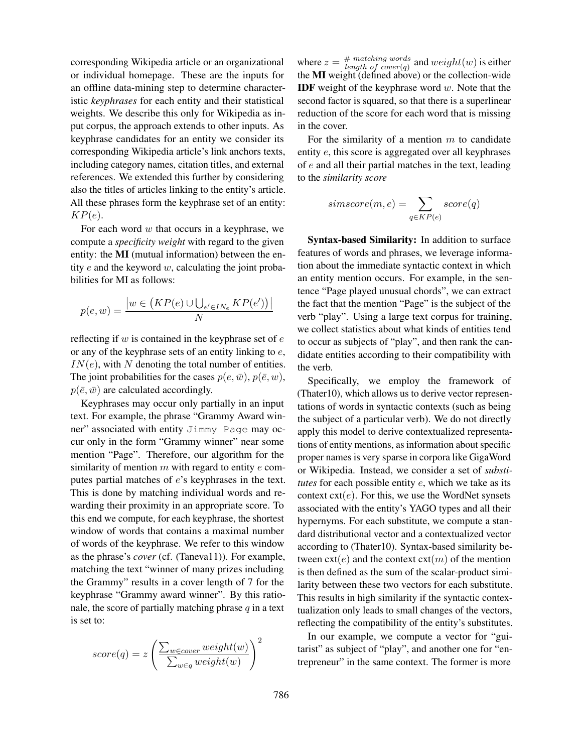corresponding Wikipedia article or an organizational or individual homepage. These are the inputs for an offline data-mining step to determine characteristic *keyphrases* for each entity and their statistical weights. We describe this only for Wikipedia as input corpus, the approach extends to other inputs. As keyphrase candidates for an entity we consider its corresponding Wikipedia article's link anchors texts, including category names, citation titles, and external references. We extended this further by considering also the titles of articles linking to the entity's article. All these phrases form the keyphrase set of an entity:  $KP(e).$ 

For each word  $w$  that occurs in a keyphrase, we compute a *specificity weight* with regard to the given entity: the MI (mutual information) between the entity  $e$  and the keyword  $w$ , calculating the joint probabilities for MI as follows:

$$
p(e, w) = \frac{|w \in (KP(e) \cup \bigcup_{e' \in IN_e} KP(e'))|}{N}
$$

reflecting if  $w$  is contained in the keyphrase set of  $e$ or any of the keyphrase sets of an entity linking to e,  $IN(e)$ , with N denoting the total number of entities. The joint probabilities for the cases  $p(e, \bar{w})$ ,  $p(\bar{e}, w)$ ,  $p(\bar{e}, \bar{w})$  are calculated accordingly.

Keyphrases may occur only partially in an input text. For example, the phrase "Grammy Award winner" associated with entity Jimmy Page may occur only in the form "Grammy winner" near some mention "Page". Therefore, our algorithm for the similarity of mention  $m$  with regard to entity  $e$  computes partial matches of e's keyphrases in the text. This is done by matching individual words and rewarding their proximity in an appropriate score. To this end we compute, for each keyphrase, the shortest window of words that contains a maximal number of words of the keyphrase. We refer to this window as the phrase's *cover* (cf. (Taneva11)). For example, matching the text "winner of many prizes including the Grammy" results in a cover length of 7 for the keyphrase "Grammy award winner". By this rationale, the score of partially matching phrase  $q$  in a text is set to:

$$
score(q) = z \left( \frac{\sum_{w \in cover} weight(w)}{\sum_{w \in q} weight(w)} \right)^2
$$

where  $z = \frac{\text{\# matching words}}{\text{length of cover}(a)}$  $\frac{\# \text{ matening words}}{\text{length of cover}(q)}$  and  $weight(w)$  is either the MI weight (defined above) or the collection-wide **IDF** weight of the keyphrase word  $w$ . Note that the second factor is squared, so that there is a superlinear reduction of the score for each word that is missing in the cover.

For the similarity of a mention  $m$  to candidate entity e, this score is aggregated over all keyphrases of e and all their partial matches in the text, leading to the *similarity score*

$$
simscore(m, e) = \sum_{q \in KP(e)} score(q)
$$

Syntax-based Similarity: In addition to surface features of words and phrases, we leverage information about the immediate syntactic context in which an entity mention occurs. For example, in the sentence "Page played unusual chords", we can extract the fact that the mention "Page" is the subject of the verb "play". Using a large text corpus for training, we collect statistics about what kinds of entities tend to occur as subjects of "play", and then rank the candidate entities according to their compatibility with the verb.

Specifically, we employ the framework of (Thater10), which allows us to derive vector representations of words in syntactic contexts (such as being the subject of a particular verb). We do not directly apply this model to derive contextualized representations of entity mentions, as information about specific proper names is very sparse in corpora like GigaWord or Wikipedia. Instead, we consider a set of *substitutes* for each possible entity e, which we take as its context  $ext(e)$ . For this, we use the WordNet synsets associated with the entity's YAGO types and all their hypernyms. For each substitute, we compute a standard distributional vector and a contextualized vector according to (Thater10). Syntax-based similarity between  $ext(e)$  and the context  $ext(m)$  of the mention is then defined as the sum of the scalar-product similarity between these two vectors for each substitute. This results in high similarity if the syntactic contextualization only leads to small changes of the vectors, reflecting the compatibility of the entity's substitutes.

In our example, we compute a vector for "guitarist" as subject of "play", and another one for "entrepreneur" in the same context. The former is more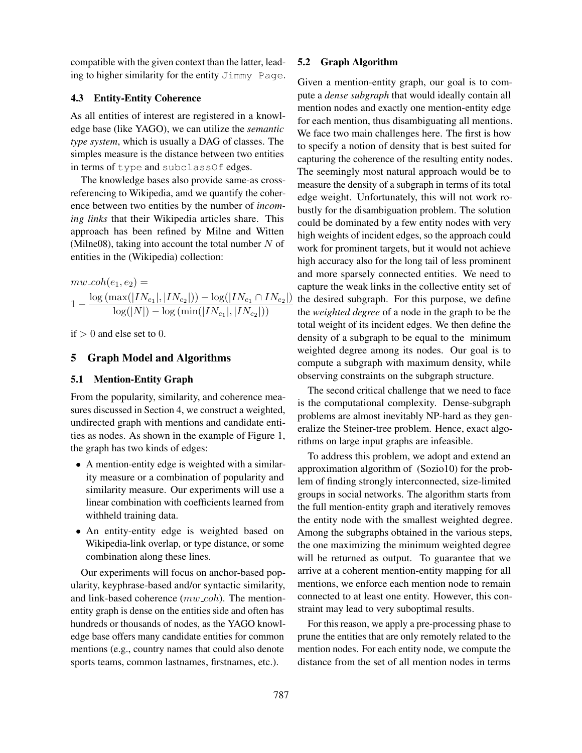compatible with the given context than the latter, leading to higher similarity for the entity Jimmy Page.

# 4.3 Entity-Entity Coherence

As all entities of interest are registered in a knowledge base (like YAGO), we can utilize the *semantic type system*, which is usually a DAG of classes. The simples measure is the distance between two entities in terms of type and subclassOf edges.

The knowledge bases also provide same-as crossreferencing to Wikipedia, amd we quantify the coherence between two entities by the number of *incoming links* that their Wikipedia articles share. This approach has been refined by Milne and Witten (Milne08), taking into account the total number  $N$  of entities in the (Wikipedia) collection:

 $mw\_{coh}(e_1, e_2) =$  $1 - \frac{\log(\max(|IN_{e_1}|, |IN_{e_2}|)) - \log(|IN_{e_1} \cap IN_{e_2}|)}{\log(|N|) - \log(\min(|IN_{e_1}|, |IN_{e_2}|))}$  $log(|N|) - log (min(|IN_{e_1}|, |IN_{e_2}|))$ 

 $if > 0$  and else set to 0.

## 5 Graph Model and Algorithms

# 5.1 Mention-Entity Graph

From the popularity, similarity, and coherence measures discussed in Section 4, we construct a weighted, undirected graph with mentions and candidate entities as nodes. As shown in the example of Figure 1, the graph has two kinds of edges:

- A mention-entity edge is weighted with a similarity measure or a combination of popularity and similarity measure. Our experiments will use a linear combination with coefficients learned from withheld training data.
- An entity-entity edge is weighted based on Wikipedia-link overlap, or type distance, or some combination along these lines.

Our experiments will focus on anchor-based popularity, keyphrase-based and/or syntactic similarity, and link-based coherence  $(mw \_coh)$ . The mentionentity graph is dense on the entities side and often has hundreds or thousands of nodes, as the YAGO knowledge base offers many candidate entities for common mentions (e.g., country names that could also denote sports teams, common lastnames, firstnames, etc.).

### 5.2 Graph Algorithm

Given a mention-entity graph, our goal is to compute a *dense subgraph* that would ideally contain all mention nodes and exactly one mention-entity edge for each mention, thus disambiguating all mentions. We face two main challenges here. The first is how to specify a notion of density that is best suited for capturing the coherence of the resulting entity nodes. The seemingly most natural approach would be to measure the density of a subgraph in terms of its total edge weight. Unfortunately, this will not work robustly for the disambiguation problem. The solution could be dominated by a few entity nodes with very high weights of incident edges, so the approach could work for prominent targets, but it would not achieve high accuracy also for the long tail of less prominent and more sparsely connected entities. We need to capture the weak links in the collective entity set of the desired subgraph. For this purpose, we define the *weighted degree* of a node in the graph to be the total weight of its incident edges. We then define the density of a subgraph to be equal to the minimum weighted degree among its nodes. Our goal is to compute a subgraph with maximum density, while observing constraints on the subgraph structure.

The second critical challenge that we need to face is the computational complexity. Dense-subgraph problems are almost inevitably NP-hard as they generalize the Steiner-tree problem. Hence, exact algorithms on large input graphs are infeasible.

To address this problem, we adopt and extend an approximation algorithm of (Sozio10) for the problem of finding strongly interconnected, size-limited groups in social networks. The algorithm starts from the full mention-entity graph and iteratively removes the entity node with the smallest weighted degree. Among the subgraphs obtained in the various steps, the one maximizing the minimum weighted degree will be returned as output. To guarantee that we arrive at a coherent mention-entity mapping for all mentions, we enforce each mention node to remain connected to at least one entity. However, this constraint may lead to very suboptimal results.

For this reason, we apply a pre-processing phase to prune the entities that are only remotely related to the mention nodes. For each entity node, we compute the distance from the set of all mention nodes in terms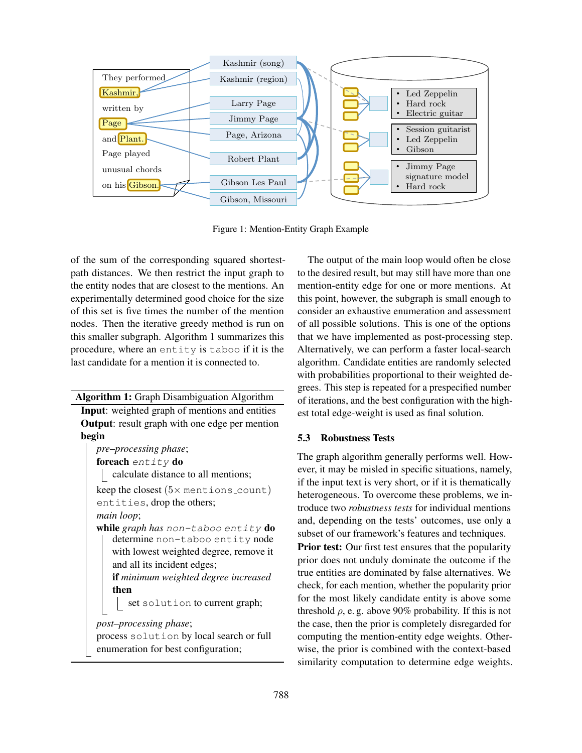

Figure 1: Mention-Entity Graph Example

of the sum of the corresponding squared shortestpath distances. We then restrict the input graph to the entity nodes that are closest to the mentions. An experimentally determined good choice for the size of this set is five times the number of the mention nodes. Then the iterative greedy method is run on this smaller subgraph. Algorithm 1 summarizes this procedure, where an entity is taboo if it is the last candidate for a mention it is connected to.

Algorithm 1: Graph Disambiguation Algorithm

Input: weighted graph of mentions and entities Output: result graph with one edge per mention begin

*pre–processing phase*; foreach entity do calculate distance to all mentions; keep the closest  $(5 \times$  mentions count)

entities, drop the others;

*main loop*;

while *graph has* non-taboo entity do determine non-taboo entity node with lowest weighted degree, remove it and all its incident edges;

if *minimum weighted degree increased* then

set solution to current graph;

*post–processing phase*;

process solution by local search or full enumeration for best configuration;

The output of the main loop would often be close to the desired result, but may still have more than one mention-entity edge for one or more mentions. At this point, however, the subgraph is small enough to consider an exhaustive enumeration and assessment of all possible solutions. This is one of the options that we have implemented as post-processing step. Alternatively, we can perform a faster local-search algorithm. Candidate entities are randomly selected with probabilities proportional to their weighted degrees. This step is repeated for a prespecified number of iterations, and the best configuration with the highest total edge-weight is used as final solution.

# 5.3 Robustness Tests

The graph algorithm generally performs well. However, it may be misled in specific situations, namely, if the input text is very short, or if it is thematically heterogeneous. To overcome these problems, we introduce two *robustness tests* for individual mentions and, depending on the tests' outcomes, use only a subset of our framework's features and techniques.

**Prior test:** Our first test ensures that the popularity prior does not unduly dominate the outcome if the true entities are dominated by false alternatives. We check, for each mention, whether the popularity prior for the most likely candidate entity is above some threshold  $\rho$ , e. g. above 90% probability. If this is not the case, then the prior is completely disregarded for computing the mention-entity edge weights. Otherwise, the prior is combined with the context-based similarity computation to determine edge weights.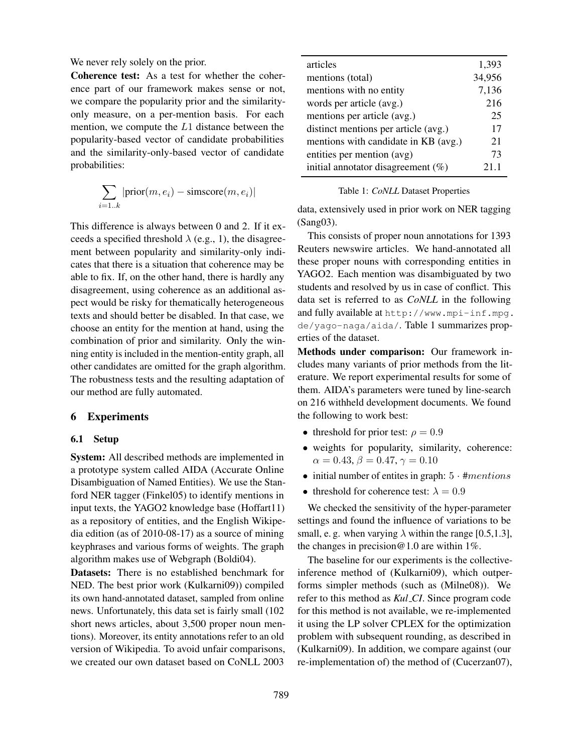We never rely solely on the prior.

Coherence test: As a test for whether the coherence part of our framework makes sense or not, we compare the popularity prior and the similarityonly measure, on a per-mention basis. For each mention, we compute the L1 distance between the popularity-based vector of candidate probabilities and the similarity-only-based vector of candidate probabilities:

$$
\sum_{i=1..k} |\text{prior}(m, e_i) - \text{simscore}(m, e_i)|
$$

This difference is always between 0 and 2. If it exceeds a specified threshold  $\lambda$  (e.g., 1), the disagreement between popularity and similarity-only indicates that there is a situation that coherence may be able to fix. If, on the other hand, there is hardly any disagreement, using coherence as an additional aspect would be risky for thematically heterogeneous texts and should better be disabled. In that case, we choose an entity for the mention at hand, using the combination of prior and similarity. Only the winning entity is included in the mention-entity graph, all other candidates are omitted for the graph algorithm. The robustness tests and the resulting adaptation of our method are fully automated.

## 6 Experiments

# 6.1 Setup

System: All described methods are implemented in a prototype system called AIDA (Accurate Online Disambiguation of Named Entities). We use the Stanford NER tagger (Finkel05) to identify mentions in input texts, the YAGO2 knowledge base (Hoffart11) as a repository of entities, and the English Wikipedia edition (as of 2010-08-17) as a source of mining keyphrases and various forms of weights. The graph algorithm makes use of Webgraph (Boldi04).

Datasets: There is no established benchmark for NED. The best prior work (Kulkarni09)) compiled its own hand-annotated dataset, sampled from online news. Unfortunately, this data set is fairly small (102 short news articles, about 3,500 proper noun mentions). Moreover, its entity annotations refer to an old version of Wikipedia. To avoid unfair comparisons, we created our own dataset based on CoNLL 2003

| articles                              | 1,393  |
|---------------------------------------|--------|
| mentions (total)                      | 34,956 |
| mentions with no entity               | 7,136  |
| words per article (avg.)              | 216    |
| mentions per article (avg.)           | 25     |
| distinct mentions per article (avg.)  | 17     |
| mentions with candidate in KB (avg.)  | 21     |
| entities per mention (avg)            | 73     |
| initial annotator disagreement $(\%)$ | 21.1   |

#### Table 1: *CoNLL* Dataset Properties

data, extensively used in prior work on NER tagging (Sang03).

This consists of proper noun annotations for 1393 Reuters newswire articles. We hand-annotated all these proper nouns with corresponding entities in YAGO2. Each mention was disambiguated by two students and resolved by us in case of conflict. This data set is referred to as *CoNLL* in the following and fully available at http://www.mpi-inf.mpg. de/yago-naga/aida/. Table 1 summarizes properties of the dataset.

Methods under comparison: Our framework includes many variants of prior methods from the literature. We report experimental results for some of them. AIDA's parameters were tuned by line-search on 216 withheld development documents. We found the following to work best:

- threshold for prior test:  $\rho = 0.9$
- weights for popularity, similarity, coherence:  $\alpha = 0.43, \beta = 0.47, \gamma = 0.10$
- initial number of entites in graph:  $5 \cdot \text{#}$  *mentions*
- threshold for coherence test:  $\lambda = 0.9$

We checked the sensitivity of the hyper-parameter settings and found the influence of variations to be small, e. g. when varying  $\lambda$  within the range [0.5,1.3], the changes in precision@1.0 are within 1%.

The baseline for our experiments is the collectiveinference method of (Kulkarni09), which outperforms simpler methods (such as (Milne08)). We refer to this method as *Kul CI*. Since program code for this method is not available, we re-implemented it using the LP solver CPLEX for the optimization problem with subsequent rounding, as described in (Kulkarni09). In addition, we compare against (our re-implementation of) the method of (Cucerzan07),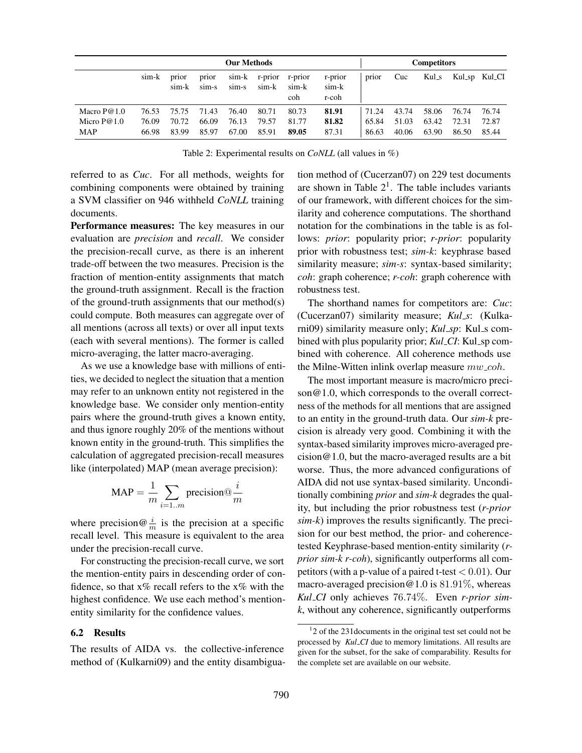|                             |                | <b>Our Methods</b> |                |                |                  |                         |                           | <b>Competitors</b> |                |                |                |                |
|-----------------------------|----------------|--------------------|----------------|----------------|------------------|-------------------------|---------------------------|--------------------|----------------|----------------|----------------|----------------|
|                             | sim-k          | prior<br>sim-k     | prior<br>sim-s | sim-k<br>sim-s | r-prior<br>sim-k | r-prior<br>sim-k<br>coh | r-prior<br>sim-k<br>r-coh | prior              | Cuc            | $Kul_s$        |                | Kul_sp Kul_CI  |
| Macro $P@1.0$               | 76.53          | 75.75              | 71.43          | 76.40          | 80.71            | 80.73                   | 81.91                     | 71.24              | 43.74          | 58.06          | 76.74          | 76.74          |
| Micro $P@1.0$<br><b>MAP</b> | 76.09<br>66.98 | 70.72<br>83.99     | 66.09<br>85.97 | 76.13<br>67.00 | 79.57<br>85.91   | 81.77<br>89.05          | 81.82<br>87.31            | 65.84<br>86.63     | 51.03<br>40.06 | 63.42<br>63.90 | 72.31<br>86.50 | 72.87<br>85.44 |

Table 2: Experimental results on *CoNLL* (all values in %)

referred to as *Cuc*. For all methods, weights for combining components were obtained by training a SVM classifier on 946 withheld *CoNLL* training documents.

Performance measures: The key measures in our evaluation are *precision* and *recall*. We consider the precision-recall curve, as there is an inherent trade-off between the two measures. Precision is the fraction of mention-entity assignments that match the ground-truth assignment. Recall is the fraction of the ground-truth assignments that our method(s) could compute. Both measures can aggregate over of all mentions (across all texts) or over all input texts (each with several mentions). The former is called micro-averaging, the latter macro-averaging.

As we use a knowledge base with millions of entities, we decided to neglect the situation that a mention may refer to an unknown entity not registered in the knowledge base. We consider only mention-entity pairs where the ground-truth gives a known entity, and thus ignore roughly 20% of the mentions without known entity in the ground-truth. This simplifies the calculation of aggregated precision-recall measures like (interpolated) MAP (mean average precision):

$$
MAP = \frac{1}{m} \sum_{i=1..m} \text{precision} @\frac{i}{m}
$$

where precision  $\frac{i}{m}$  is the precision at a specific recall level. This measure is equivalent to the area under the precision-recall curve.

For constructing the precision-recall curve, we sort the mention-entity pairs in descending order of confidence, so that  $x\%$  recall refers to the  $x\%$  with the highest confidence. We use each method's mentionentity similarity for the confidence values.

## 6.2 Results

The results of AIDA vs. the collective-inference method of (Kulkarni09) and the entity disambiguation method of (Cucerzan07) on 229 test documents are shown in Table  $2<sup>1</sup>$ . The table includes variants of our framework, with different choices for the similarity and coherence computations. The shorthand notation for the combinations in the table is as follows: *prior*: popularity prior; *r-prior*: popularity prior with robustness test; *sim-k*: keyphrase based similarity measure; *sim-s*: syntax-based similarity; *coh*: graph coherence; *r-coh*: graph coherence with robustness test.

The shorthand names for competitors are: *Cuc*: (Cucerzan07) similarity measure; *Kul s*: (Kulkarni09) similarity measure only; *Kul\_sp*: Kul\_s combined with plus popularity prior; *Kul\_CI*: Kul\_sp combined with coherence. All coherence methods use the Milne-Witten inlink overlap measure  $mw\_{coh}$ .

The most important measure is macro/micro precison@1.0, which corresponds to the overall correctness of the methods for all mentions that are assigned to an entity in the ground-truth data. Our *sim-k* precision is already very good. Combining it with the syntax-based similarity improves micro-averaged precision@1.0, but the macro-averaged results are a bit worse. Thus, the more advanced configurations of AIDA did not use syntax-based similarity. Unconditionally combining *prior* and *sim-k* degrades the quality, but including the prior robustness test (*r-prior sim-k*) improves the results significantly. The precision for our best method, the prior- and coherencetested Keyphrase-based mention-entity similarity (*rprior sim-k r-coh*), significantly outperforms all competitors (with a p-value of a paired t-test  $< 0.01$ ). Our macro-averaged precision  $@1.0$  is 81.91%, whereas *Kul CI* only achieves 76.74%. Even *r-prior simk*, without any coherence, significantly outperforms

<sup>&</sup>lt;sup>1</sup>2 of the 231 documents in the original test set could not be processed by *Kul CI* due to memory limitations. All results are given for the subset, for the sake of comparability. Results for the complete set are available on our website.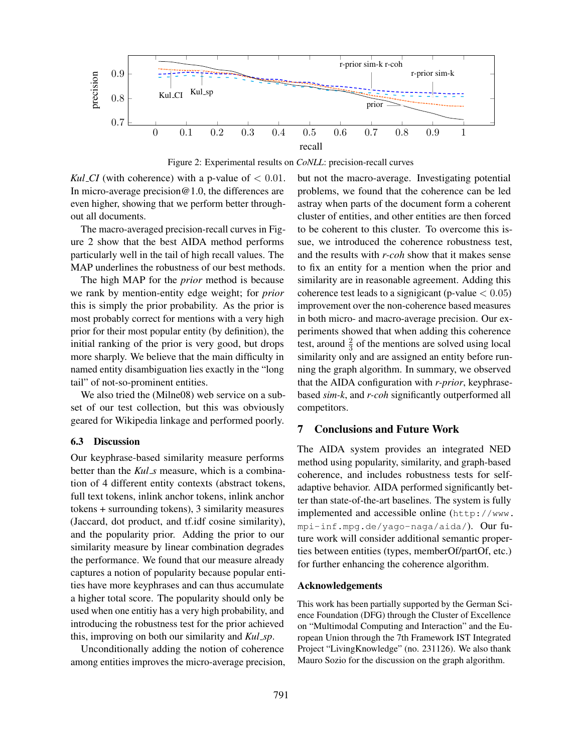

Figure 2: Experimental results on *CoNLL*: precision-recall curves

*Kul\_CI* (with coherence) with a p-value of  $< 0.01$ . In micro-average precision@1.0, the differences are even higher, showing that we perform better throughout all documents.

The macro-averaged precision-recall curves in Figure 2 show that the best AIDA method performs particularly well in the tail of high recall values. The MAP underlines the robustness of our best methods.

The high MAP for the *prior* method is because we rank by mention-entity edge weight; for *prior* this is simply the prior probability. As the prior is most probably correct for mentions with a very high prior for their most popular entity (by definition), the initial ranking of the prior is very good, but drops more sharply. We believe that the main difficulty in named entity disambiguation lies exactly in the "long tail" of not-so-prominent entities.

We also tried the (Milne08) web service on a subset of our test collection, but this was obviously geared for Wikipedia linkage and performed poorly.

#### 6.3 Discussion

Our keyphrase-based similarity measure performs better than the *Kul\_s* measure, which is a combination of 4 different entity contexts (abstract tokens, full text tokens, inlink anchor tokens, inlink anchor tokens + surrounding tokens), 3 similarity measures (Jaccard, dot product, and tf.idf cosine similarity), and the popularity prior. Adding the prior to our similarity measure by linear combination degrades the performance. We found that our measure already captures a notion of popularity because popular entities have more keyphrases and can thus accumulate a higher total score. The popularity should only be used when one entitiy has a very high probability, and introducing the robustness test for the prior achieved this, improving on both our similarity and *Kul sp*.

Unconditionally adding the notion of coherence among entities improves the micro-average precision, but not the macro-average. Investigating potential problems, we found that the coherence can be led astray when parts of the document form a coherent cluster of entities, and other entities are then forced to be coherent to this cluster. To overcome this issue, we introduced the coherence robustness test, and the results with *r-coh* show that it makes sense to fix an entity for a mention when the prior and similarity are in reasonable agreement. Adding this coherence test leads to a signigicant (p-value  $< 0.05$ ) improvement over the non-coherence based measures in both micro- and macro-average precision. Our experiments showed that when adding this coherence test, around  $\frac{2}{3}$  of the mentions are solved using local similarity only and are assigned an entity before running the graph algorithm. In summary, we observed that the AIDA configuration with *r-prior*, keyphrasebased *sim-k*, and *r-coh* significantly outperformed all competitors.

# 7 Conclusions and Future Work

The AIDA system provides an integrated NED method using popularity, similarity, and graph-based coherence, and includes robustness tests for selfadaptive behavior. AIDA performed significantly better than state-of-the-art baselines. The system is fully implemented and accessible online (http://www. mpi-inf.mpg.de/yago-naga/aida/). Our future work will consider additional semantic properties between entities (types, memberOf/partOf, etc.) for further enhancing the coherence algorithm.

#### Acknowledgements

This work has been partially supported by the German Science Foundation (DFG) through the Cluster of Excellence on "Multimodal Computing and Interaction" and the European Union through the 7th Framework IST Integrated Project "LivingKnowledge" (no. 231126). We also thank Mauro Sozio for the discussion on the graph algorithm.